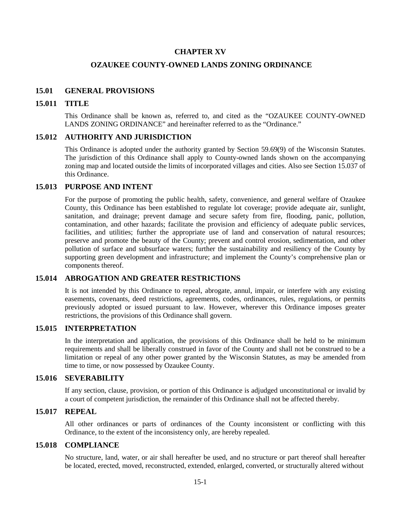# **CHAPTER XV**

# **OZAUKEE COUNTY-OWNED LANDS ZONING ORDINANCE**

## **15.01 GENERAL PROVISIONS**

#### **15.011 TITLE**

This Ordinance shall be known as, referred to, and cited as the "OZAUKEE COUNTY-OWNED LANDS ZONING ORDINANCE" and hereinafter referred to as the "Ordinance."

## **15.012 AUTHORITY AND JURISDICTION**

This Ordinance is adopted under the authority granted by Section 59.69(9) of the Wisconsin Statutes. The jurisdiction of this Ordinance shall apply to County-owned lands shown on the accompanying zoning map and located outside the limits of incorporated villages and cities. Also see Section 15.037 of this Ordinance.

## **15.013 PURPOSE AND INTENT**

For the purpose of promoting the public health, safety, convenience, and general welfare of Ozaukee County, this Ordinance has been established to regulate lot coverage; provide adequate air, sunlight, sanitation, and drainage; prevent damage and secure safety from fire, flooding, panic, pollution, contamination, and other hazards; facilitate the provision and efficiency of adequate public services, facilities, and utilities; further the appropriate use of land and conservation of natural resources; preserve and promote the beauty of the County; prevent and control erosion, sedimentation, and other pollution of surface and subsurface waters; further the sustainability and resiliency of the County by supporting green development and infrastructure; and implement the County's comprehensive plan or components thereof.

### **15.014 ABROGATION AND GREATER RESTRICTIONS**

It is not intended by this Ordinance to repeal, abrogate, annul, impair, or interfere with any existing easements, covenants, deed restrictions, agreements, codes, ordinances, rules, regulations, or permits previously adopted or issued pursuant to law. However, wherever this Ordinance imposes greater restrictions, the provisions of this Ordinance shall govern.

# **15.015 INTERPRETATION**

In the interpretation and application, the provisions of this Ordinance shall be held to be minimum requirements and shall be liberally construed in favor of the County and shall not be construed to be a limitation or repeal of any other power granted by the Wisconsin Statutes, as may be amended from time to time, or now possessed by Ozaukee County.

## **15.016 SEVERABILITY**

If any section, clause, provision, or portion of this Ordinance is adjudged unconstitutional or invalid by a court of competent jurisdiction, the remainder of this Ordinance shall not be affected thereby.

#### **15.017 REPEAL**

All other ordinances or parts of ordinances of the County inconsistent or conflicting with this Ordinance, to the extent of the inconsistency only, are hereby repealed.

# **15.018 COMPLIANCE**

No structure, land, water, or air shall hereafter be used, and no structure or part thereof shall hereafter be located, erected, moved, reconstructed, extended, enlarged, converted, or structurally altered without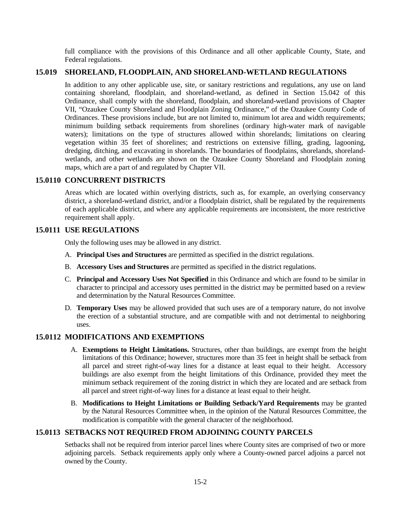full compliance with the provisions of this Ordinance and all other applicable County, State, and Federal regulations.

# **15.019 SHORELAND, FLOODPLAIN, AND SHORELAND-WETLAND REGULATIONS**

In addition to any other applicable use, site, or sanitary restrictions and regulations, any use on land containing shoreland, floodplain, and shoreland-wetland, as defined in Section 15.042 of this Ordinance, shall comply with the shoreland, floodplain, and shoreland-wetland provisions of Chapter VII, "Ozaukee County Shoreland and Floodplain Zoning Ordinance," of the Ozaukee County Code of Ordinances. These provisions include, but are not limited to, minimum lot area and width requirements; minimum building setback requirements from shorelines (ordinary high-water mark of navigable waters); limitations on the type of structures allowed within shorelands; limitations on clearing vegetation within 35 feet of shorelines; and restrictions on extensive filling, grading, lagooning, dredging, ditching, and excavating in shorelands. The boundaries of floodplains, shorelands, shorelandwetlands, and other wetlands are shown on the Ozaukee County Shoreland and Floodplain zoning maps, which are a part of and regulated by Chapter VII.

## **15.0110 CONCURRENT DISTRICTS**

Areas which are located within overlying districts, such as, for example, an overlying conservancy district, a shoreland-wetland district, and/or a floodplain district, shall be regulated by the requirements of each applicable district, and where any applicable requirements are inconsistent, the more restrictive requirement shall apply.

### **15.0111 USE REGULATIONS**

Only the following uses may be allowed in any district.

- A. **Principal Uses and Structures** are permitted as specified in the district regulations.
- B. **Accessory Uses and Structures** are permitted as specified in the district regulations.
- C. **Principal and Accessory Uses Not Specified** in this Ordinance and which are found to be similar in character to principal and accessory uses permitted in the district may be permitted based on a review and determination by the Natural Resources Committee.
- D. **Temporary Uses** may be allowed provided that such uses are of a temporary nature, do not involve the erection of a substantial structure, and are compatible with and not detrimental to neighboring uses.

### **15.0112 MODIFICATIONS AND EXEMPTIONS**

- A. **Exemptions to Height Limitations.** Structures, other than buildings, are exempt from the height limitations of this Ordinance; however, structures more than 35 feet in height shall be setback from all parcel and street right-of-way lines for a distance at least equal to their height. Accessory buildings are also exempt from the height limitations of this Ordinance, provided they meet the minimum setback requirement of the zoning district in which they are located and are setback from all parcel and street right-of-way lines for a distance at least equal to their height.
- B. **Modifications to Height Limitations or Building Setback/Yard Requirements** may be granted by the Natural Resources Committee when, in the opinion of the Natural Resources Committee, the modification is compatible with the general character of the neighborhood.

# **15.0113 SETBACKS NOT REQUIRED FROM ADJOINING COUNTY PARCELS**

Setbacks shall not be required from interior parcel lines where County sites are comprised of two or more adjoining parcels. Setback requirements apply only where a County-owned parcel adjoins a parcel not owned by the County.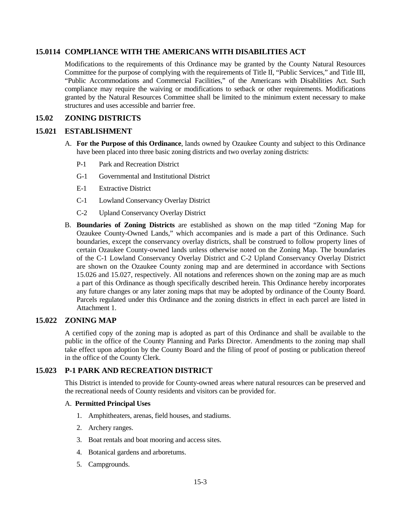# **15.0114 COMPLIANCE WITH THE AMERICANS WITH DISABILITIES ACT**

Modifications to the requirements of this Ordinance may be granted by the County Natural Resources Committee for the purpose of complying with the requirements of Title II, "Public Services," and Title III, "Public Accommodations and Commercial Facilities," of the Americans with Disabilities Act. Such compliance may require the waiving or modifications to setback or other requirements. Modifications granted by the Natural Resources Committee shall be limited to the minimum extent necessary to make structures and uses accessible and barrier free.

## **15.02 ZONING DISTRICTS**

## **15.021 ESTABLISHMENT**

- A. **For the Purpose of this Ordinance**, lands owned by Ozaukee County and subject to this Ordinance have been placed into three basic zoning districts and two overlay zoning districts:
	- P-1 Park and Recreation District
	- G-1 Governmental and Institutional District
	- E-1 Extractive District
	- C-1 Lowland Conservancy Overlay District
	- C-2 Upland Conservancy Overlay District
- B. **Boundaries of Zoning Districts** are established as shown on the map titled "Zoning Map for Ozaukee County-Owned Lands," which accompanies and is made a part of this Ordinance. Such boundaries, except the conservancy overlay districts, shall be construed to follow property lines of certain Ozaukee County-owned lands unless otherwise noted on the Zoning Map. The boundaries of the C-1 Lowland Conservancy Overlay District and C-2 Upland Conservancy Overlay District are shown on the Ozaukee County zoning map and are determined in accordance with Sections 15.026 and 15.027, respectively. All notations and references shown on the zoning map are as much a part of this Ordinance as though specifically described herein. This Ordinance hereby incorporates any future changes or any later zoning maps that may be adopted by ordinance of the County Board. Parcels regulated under this Ordinance and the zoning districts in effect in each parcel are listed in Attachment 1.

## **15.022 ZONING MAP**

A certified copy of the zoning map is adopted as part of this Ordinance and shall be available to the public in the office of the County Planning and Parks Director. Amendments to the zoning map shall take effect upon adoption by the County Board and the filing of proof of posting or publication thereof in the office of the County Clerk.

## **15.023 P-1 PARK AND RECREATION DISTRICT**

This District is intended to provide for County-owned areas where natural resources can be preserved and the recreational needs of County residents and visitors can be provided for.

#### A. **Permitted Principal Uses**

- 1. Amphitheaters, arenas, field houses, and stadiums.
- 2. Archery ranges.
- 3. Boat rentals and boat mooring and access sites.
- 4. Botanical gardens and arboretums.
- 5. Campgrounds.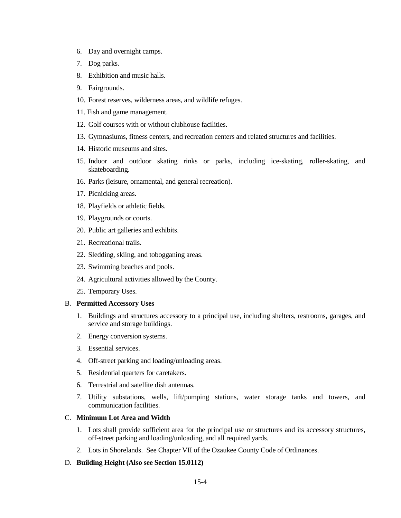- 6. Day and overnight camps.
- 7. Dog parks.
- 8. Exhibition and music halls.
- 9. Fairgrounds.
- 10. Forest reserves, wilderness areas, and wildlife refuges.
- 11. Fish and game management.
- 12. Golf courses with or without clubhouse facilities.
- 13. Gymnasiums, fitness centers, and recreation centers and related structures and facilities.
- 14. Historic museums and sites.
- 15. Indoor and outdoor skating rinks or parks, including ice-skating, roller-skating, and skateboarding.
- 16. Parks (leisure, ornamental, and general recreation).
- 17. Picnicking areas.
- 18. Playfields or athletic fields.
- 19. Playgrounds or courts.
- 20. Public art galleries and exhibits.
- 21. Recreational trails.
- 22. Sledding, skiing, and tobogganing areas.
- 23. Swimming beaches and pools.
- 24. Agricultural activities allowed by the County.
- 25. Temporary Uses.

#### B. **Permitted Accessory Uses**

- 1. Buildings and structures accessory to a principal use, including shelters, restrooms, garages, and service and storage buildings.
- 2. Energy conversion systems.
- 3. Essential services.
- 4. Off-street parking and loading/unloading areas.
- 5. Residential quarters for caretakers.
- 6. Terrestrial and satellite dish antennas.
- 7. Utility substations, wells, lift/pumping stations, water storage tanks and towers, and communication facilities.

# C. **Minimum Lot Area and Width**

- 1. Lots shall provide sufficient area for the principal use or structures and its accessory structures, off-street parking and loading/unloading, and all required yards.
- 2. Lots in Shorelands. See Chapter VII of the Ozaukee County Code of Ordinances.
- D. **Building Height (Also see Section 15.0112)**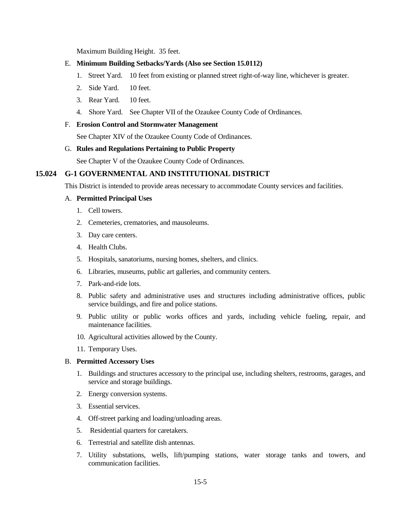Maximum Building Height. 35 feet.

#### E. **Minimum Building Setbacks/Yards (Also see Section 15.0112)**

- 1. Street Yard. 10 feet from existing or planned street right-of-way line, whichever is greater.
- 2. Side Yard. 10 feet.
- 3. Rear Yard. 10 feet.
- 4. Shore Yard. See Chapter VII of the Ozaukee County Code of Ordinances.

#### F. **Erosion Control and Stormwater Management**

See Chapter XIV of the Ozaukee County Code of Ordinances.

#### G. **Rules and Regulations Pertaining to Public Property**

See Chapter V of the Ozaukee County Code of Ordinances.

# **15.024 G-1 GOVERNMENTAL AND INSTITUTIONAL DISTRICT**

This District is intended to provide areas necessary to accommodate County services and facilities.

#### A. **Permitted Principal Uses**

- 1. Cell towers.
- 2. Cemeteries, crematories, and mausoleums.
- 3. Day care centers.
- 4. Health Clubs.
- 5. Hospitals, sanatoriums, nursing homes, shelters, and clinics.
- 6. Libraries, museums, public art galleries, and community centers.
- 7. Park-and-ride lots.
- 8. Public safety and administrative uses and structures including administrative offices, public service buildings, and fire and police stations.
- 9. Public utility or public works offices and yards, including vehicle fueling, repair, and maintenance facilities.
- 10. Agricultural activities allowed by the County.
- 11. Temporary Uses.

#### B. **Permitted Accessory Uses**

- 1. Buildings and structures accessory to the principal use, including shelters, restrooms, garages, and service and storage buildings.
- 2. Energy conversion systems.
- 3. Essential services.
- 4. Off-street parking and loading/unloading areas.
- 5. Residential quarters for caretakers.
- 6. Terrestrial and satellite dish antennas.
- 7. Utility substations, wells, lift/pumping stations, water storage tanks and towers, and communication facilities.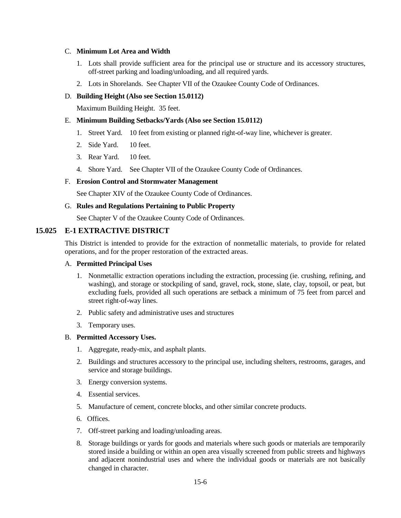### C. **Minimum Lot Area and Width**

- 1. Lots shall provide sufficient area for the principal use or structure and its accessory structures, off-street parking and loading/unloading, and all required yards.
- 2. Lots in Shorelands. See Chapter VII of the Ozaukee County Code of Ordinances.

### D. **Building Height (Also see Section 15.0112)**

Maximum Building Height. 35 feet.

### E. **Minimum Building Setbacks/Yards (Also see Section 15.0112)**

- 1. Street Yard. 10 feet from existing or planned right-of-way line, whichever is greater.
- 2. Side Yard. 10 feet.
- 3. Rear Yard. 10 feet.
- 4. Shore Yard. See Chapter VII of the Ozaukee County Code of Ordinances.

#### F. **Erosion Control and Stormwater Management**

See Chapter XIV of the Ozaukee County Code of Ordinances.

#### G. **Rules and Regulations Pertaining to Public Property**

See Chapter V of the Ozaukee County Code of Ordinances.

## **15.025 E-1 EXTRACTIVE DISTRICT**

This District is intended to provide for the extraction of nonmetallic materials, to provide for related operations, and for the proper restoration of the extracted areas.

#### A. **Permitted Principal Uses**

- 1. Nonmetallic extraction operations including the extraction, processing (ie. crushing, refining, and washing), and storage or stockpiling of sand, gravel, rock, stone, slate, clay, topsoil, or peat, but excluding fuels, provided all such operations are setback a minimum of 75 feet from parcel and street right-of-way lines.
- 2. Public safety and administrative uses and structures
- 3. Temporary uses.

### B. **Permitted Accessory Uses.**

- 1. Aggregate, ready-mix, and asphalt plants.
- 2. Buildings and structures accessory to the principal use, including shelters, restrooms, garages, and service and storage buildings.
- 3. Energy conversion systems.
- 4. Essential services.
- 5. Manufacture of cement, concrete blocks, and other similar concrete products.
- 6. Offices.
- 7. Off-street parking and loading/unloading areas.
- 8. Storage buildings or yards for goods and materials where such goods or materials are temporarily stored inside a building or within an open area visually screened from public streets and highways and adjacent nonindustrial uses and where the individual goods or materials are not basically changed in character.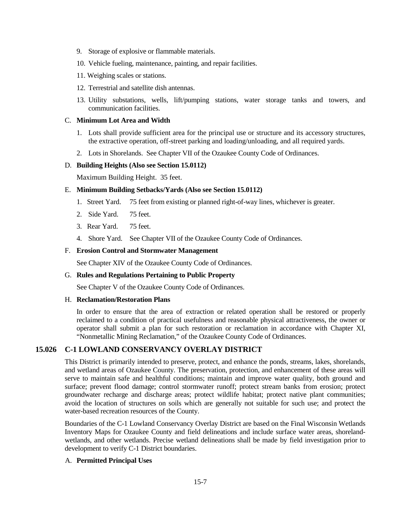- 9. Storage of explosive or flammable materials.
- 10. Vehicle fueling, maintenance, painting, and repair facilities.
- 11. Weighing scales or stations.
- 12. Terrestrial and satellite dish antennas.
- 13. Utility substations, wells, lift/pumping stations, water storage tanks and towers, and communication facilities.

### C. **Minimum Lot Area and Width**

- 1. Lots shall provide sufficient area for the principal use or structure and its accessory structures, the extractive operation, off-street parking and loading/unloading, and all required yards.
- 2. Lots in Shorelands. See Chapter VII of the Ozaukee County Code of Ordinances.

#### D. **Building Heights (Also see Section 15.0112)**

Maximum Building Height. 35 feet.

#### E. **Minimum Building Setbacks/Yards (Also see Section 15.0112)**

- 1. Street Yard. 75 feet from existing or planned right-of-way lines, whichever is greater.
- 2. Side Yard. 75 feet.
- 3. Rear Yard. 75 feet.
- 4. Shore Yard. See Chapter VII of the Ozaukee County Code of Ordinances.

#### F. **Erosion Control and Stormwater Management**

See Chapter XIV of the Ozaukee County Code of Ordinances.

#### G. **Rules and Regulations Pertaining to Public Property**

See Chapter V of the Ozaukee County Code of Ordinances.

#### H. **Reclamation/Restoration Plans**

In order to ensure that the area of extraction or related operation shall be restored or properly reclaimed to a condition of practical usefulness and reasonable physical attractiveness, the owner or operator shall submit a plan for such restoration or reclamation in accordance with Chapter XI, "Nonmetallic Mining Reclamation," of the Ozaukee County Code of Ordinances.

### **15.026 C-1 LOWLAND CONSERVANCY OVERLAY DISTRICT**

This District is primarily intended to preserve, protect, and enhance the ponds, streams, lakes, shorelands, and wetland areas of Ozaukee County. The preservation, protection, and enhancement of these areas will serve to maintain safe and healthful conditions; maintain and improve water quality, both ground and surface; prevent flood damage; control stormwater runoff; protect stream banks from erosion; protect groundwater recharge and discharge areas; protect wildlife habitat; protect native plant communities; avoid the location of structures on soils which are generally not suitable for such use; and protect the water-based recreation resources of the County.

Boundaries of the C-1 Lowland Conservancy Overlay District are based on the Final Wisconsin Wetlands Inventory Maps for Ozaukee County and field delineations and include surface water areas, shorelandwetlands, and other wetlands. Precise wetland delineations shall be made by field investigation prior to development to verify C-1 District boundaries.

### A. **Permitted Principal Uses**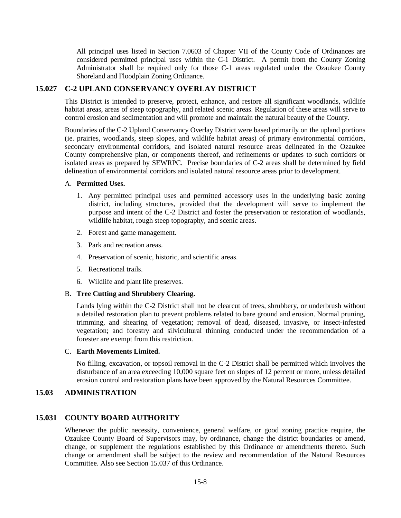All principal uses listed in Section 7.0603 of Chapter VII of the County Code of Ordinances are considered permitted principal uses within the C-1 District. A permit from the County Zoning Administrator shall be required only for those C-1 areas regulated under the Ozaukee County Shoreland and Floodplain Zoning Ordinance.

## **15.027 C-2 UPLAND CONSERVANCY OVERLAY DISTRICT**

This District is intended to preserve, protect, enhance, and restore all significant woodlands, wildlife habitat areas, areas of steep topography, and related scenic areas. Regulation of these areas will serve to control erosion and sedimentation and will promote and maintain the natural beauty of the County.

Boundaries of the C-2 Upland Conservancy Overlay District were based primarily on the upland portions (ie. prairies, woodlands, steep slopes, and wildlife habitat areas) of primary environmental corridors, secondary environmental corridors, and isolated natural resource areas delineated in the Ozaukee County comprehensive plan, or components thereof, and refinements or updates to such corridors or isolated areas as prepared by SEWRPC. Precise boundaries of C-2 areas shall be determined by field delineation of environmental corridors and isolated natural resource areas prior to development.

#### A. **Permitted Uses.**

- 1. Any permitted principal uses and permitted accessory uses in the underlying basic zoning district, including structures, provided that the development will serve to implement the purpose and intent of the C-2 District and foster the preservation or restoration of woodlands, wildlife habitat, rough steep topography, and scenic areas.
- 2. Forest and game management.
- 3. Park and recreation areas.
- 4. Preservation of scenic, historic, and scientific areas.
- 5. Recreational trails.
- 6. Wildlife and plant life preserves.

#### B. **Tree Cutting and Shrubbery Clearing.**

Lands lying within the C-2 District shall not be clearcut of trees, shrubbery, or underbrush without a detailed restoration plan to prevent problems related to bare ground and erosion. Normal pruning, trimming, and shearing of vegetation; removal of dead, diseased, invasive, or insect-infested vegetation; and forestry and silvicultural thinning conducted under the recommendation of a forester are exempt from this restriction.

#### C. **Earth Movements Limited.**

No filling, excavation, or topsoil removal in the C-2 District shall be permitted which involves the disturbance of an area exceeding 10,000 square feet on slopes of 12 percent or more, unless detailed erosion control and restoration plans have been approved by the Natural Resources Committee.

# **15.03 ADMINISTRATION**

# **15.031 COUNTY BOARD AUTHORITY**

Whenever the public necessity, convenience, general welfare, or good zoning practice require, the Ozaukee County Board of Supervisors may, by ordinance, change the district boundaries or amend, change, or supplement the regulations established by this Ordinance or amendments thereto. Such change or amendment shall be subject to the review and recommendation of the Natural Resources Committee. Also see Section 15.037 of this Ordinance.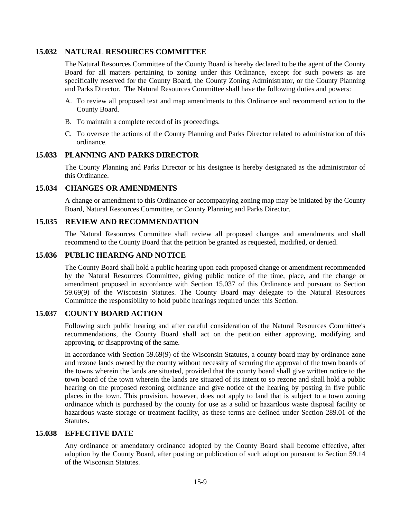# **15.032 NATURAL RESOURCES COMMITTEE**

The Natural Resources Committee of the County Board is hereby declared to be the agent of the County Board for all matters pertaining to zoning under this Ordinance, except for such powers as are specifically reserved for the County Board, the County Zoning Administrator, or the County Planning and Parks Director. The Natural Resources Committee shall have the following duties and powers:

- A. To review all proposed text and map amendments to this Ordinance and recommend action to the County Board.
- B. To maintain a complete record of its proceedings.
- C. To oversee the actions of the County Planning and Parks Director related to administration of this ordinance.

## **15.033 PLANNING AND PARKS DIRECTOR**

The County Planning and Parks Director or his designee is hereby designated as the administrator of this Ordinance.

## **15.034 CHANGES OR AMENDMENTS**

A change or amendment to this Ordinance or accompanying zoning map may be initiated by the County Board, Natural Resources Committee, or County Planning and Parks Director.

#### **15.035 REVIEW AND RECOMMENDATION**

The Natural Resources Committee shall review all proposed changes and amendments and shall recommend to the County Board that the petition be granted as requested, modified, or denied.

#### **15.036 PUBLIC HEARING AND NOTICE**

The County Board shall hold a public hearing upon each proposed change or amendment recommended by the Natural Resources Committee, giving public notice of the time, place, and the change or amendment proposed in accordance with Section 15.037 of this Ordinance and pursuant to Section 59.69(9) of the Wisconsin Statutes. The County Board may delegate to the Natural Resources Committee the responsibility to hold public hearings required under this Section.

# **15.037 COUNTY BOARD ACTION**

Following such public hearing and after careful consideration of the Natural Resources Committee's recommendations, the County Board shall act on the petition either approving, modifying and approving, or disapproving of the same.

In accordance with Section 59.69(9) of the Wisconsin Statutes, a county board may by ordinance zone and rezone lands owned by the county without necessity of securing the approval of the town boards of the towns wherein the lands are situated, provided that the county board shall give written notice to the town board of the town wherein the lands are situated of its intent to so rezone and shall hold a public hearing on the proposed rezoning ordinance and give notice of the hearing by posting in five public places in the town. This provision, however, does not apply to land that is subject to a town zoning ordinance which is purchased by the county for use as a solid or hazardous waste disposal facility or hazardous waste storage or treatment facility, as these terms are defined under Section 289.01 of the Statutes.

### **15.038 EFFECTIVE DATE**

Any ordinance or amendatory ordinance adopted by the County Board shall become effective, after adoption by the County Board, after posting or publication of such adoption pursuant to Section 59.14 of the Wisconsin Statutes.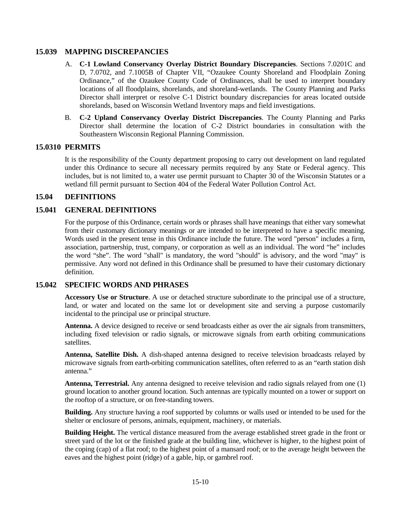## **15.039 MAPPING DISCREPANCIES**

- A. **C-1 Lowland Conservancy Overlay District Boundary Discrepancies**. Sections 7.0201C and D, 7.0702, and 7.1005B of Chapter VII, "Ozaukee County Shoreland and Floodplain Zoning Ordinance," of the Ozaukee County Code of Ordinances, shall be used to interpret boundary locations of all floodplains, shorelands, and shoreland-wetlands. The County Planning and Parks Director shall interpret or resolve C-1 District boundary discrepancies for areas located outside shorelands, based on Wisconsin Wetland Inventory maps and field investigations.
- B. **C-2 Upland Conservancy Overlay District Discrepancies**. The County Planning and Parks Director shall determine the location of C-2 District boundaries in consultation with the Southeastern Wisconsin Regional Planning Commission.

## **15.0310 PERMITS**

It is the responsibility of the County department proposing to carry out development on land regulated under this Ordinance to secure all necessary permits required by any State or Federal agency. This includes, but is not limited to, a water use permit pursuant to Chapter 30 of the Wisconsin Statutes or a wetland fill permit pursuant to Section 404 of the Federal Water Pollution Control Act.

## **15.04 DEFINITIONS**

## **15.041 GENERAL DEFINITIONS**

For the purpose of this Ordinance, certain words or phrases shall have meanings that either vary somewhat from their customary dictionary meanings or are intended to be interpreted to have a specific meaning. Words used in the present tense in this Ordinance include the future. The word "person" includes a firm, association, partnership, trust, company, or corporation as well as an individual. The word "he" includes the word "she". The word "shall" is mandatory, the word "should" is advisory, and the word "may" is permissive. Any word not defined in this Ordinance shall be presumed to have their customary dictionary definition.

### **15.042 SPECIFIC WORDS AND PHRASES**

**Accessory Use or Structure**. A use or detached structure subordinate to the principal use of a structure, land, or water and located on the same lot or development site and serving a purpose customarily incidental to the principal use or principal structure.

**Antenna.** A device designed to receive or send broadcasts either as over the air signals from transmitters, including fixed television or radio signals, or microwave signals from earth orbiting communications satellites.

**Antenna, Satellite Dish.** A dish-shaped antenna designed to receive television broadcasts relayed by microwave signals from earth-orbiting communication satellites, often referred to as an "earth station dish antenna."

**Antenna, Terrestrial.** Any antenna designed to receive television and radio signals relayed from one (1) ground location to another ground location. Such antennas are typically mounted on a tower or support on the rooftop of a structure, or on free-standing towers.

**Building.** Any structure having a roof supported by columns or walls used or intended to be used for the shelter or enclosure of persons, animals, equipment, machinery, or materials.

**Building Height.** The vertical distance measured from the average established street grade in the front or street yard of the lot or the finished grade at the building line, whichever is higher, to the highest point of the coping (cap) of a flat roof; to the highest point of a mansard roof; or to the average height between the eaves and the highest point (ridge) of a gable, hip, or gambrel roof.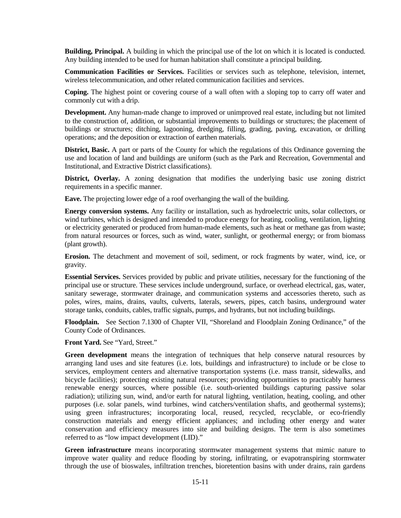**Building, Principal.** A building in which the principal use of the lot on which it is located is conducted. Any building intended to be used for human habitation shall constitute a principal building.

**Communication Facilities or Services.** Facilities or services such as telephone, television, internet, wireless telecommunication, and other related communication facilities and services.

**Coping.** The highest point or covering course of a wall often with a sloping top to carry off water and commonly cut with a drip.

**Development.** Any human-made change to improved or unimproved real estate, including but not limited to the construction of, addition, or substantial improvements to buildings or structures; the placement of buildings or structures; ditching, lagooning, dredging, filling, grading, paving, excavation, or drilling operations; and the deposition or extraction of earthen materials.

**District, Basic.** A part or parts of the County for which the regulations of this Ordinance governing the use and location of land and buildings are uniform (such as the Park and Recreation, Governmental and Institutional, and Extractive District classifications).

**District, Overlay.** A zoning designation that modifies the underlying basic use zoning district requirements in a specific manner.

**Eave.** The projecting lower edge of a roof overhanging the wall of the building.

**Energy conversion systems.** Any facility or installation, such as hydroelectric units, solar collectors, or wind turbines, which is designed and intended to produce energy for heating, cooling, ventilation, lighting or electricity generated or produced from human-made elements, such as heat or methane gas from waste; from natural resources or forces, such as wind, water, sunlight, or geothermal energy; or from biomass (plant growth).

**Erosion.** The detachment and movement of soil, sediment, or rock fragments by water, wind, ice, or gravity.

**Essential Services.** Services provided by public and private utilities, necessary for the functioning of the principal use or structure. These services include underground, surface, or overhead electrical, gas, water, sanitary sewerage, stormwater drainage, and communication systems and accessories thereto, such as poles, wires, mains, drains, vaults, culverts, laterals, sewers, pipes, catch basins, underground water storage tanks, conduits, cables, traffic signals, pumps, and hydrants, but not including buildings.

**Floodplain.** See Section 7.1300 of Chapter VII, "Shoreland and Floodplain Zoning Ordinance," of the County Code of Ordinances.

**Front Yard.** See "Yard, Street."

**Green development** means the integration of techniques that help conserve natural resources by arranging land uses and site features (i.e. lots, buildings and infrastructure) to include or be close to services, employment centers and alternative transportation systems (i.e. mass transit, sidewalks, and bicycle facilities); protecting existing natural resources; providing opportunities to practicably harness renewable energy sources, where possible (i.e. south-oriented buildings capturing passive solar radiation); utilizing sun, wind, and/or earth for natural lighting, ventilation, heating, cooling, and other purposes (i.e. solar panels, wind turbines, wind catchers/ventilation shafts, and geothermal systems); using green infrastructures; incorporating local, reused, recycled, recyclable, or eco-friendly construction materials and energy efficient appliances; and including other energy and water conservation and efficiency measures into site and building designs. The term is also sometimes referred to as "low impact development (LID)."

**Green infrastructure** means incorporating stormwater management systems that mimic nature to improve water quality and reduce flooding by storing, infiltrating, or evapotranspiring stormwater through the use of bioswales, infiltration trenches, bioretention basins with under drains, rain gardens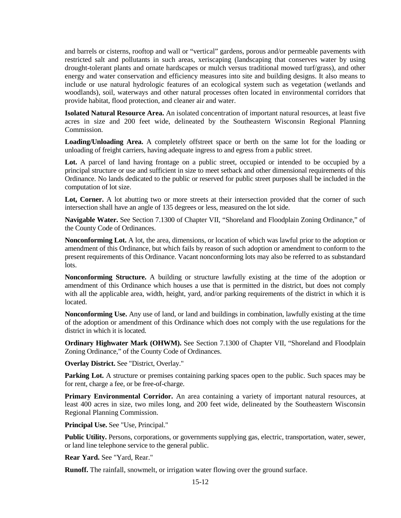and barrels or cisterns, rooftop and wall or "vertical" gardens, porous and/or permeable pavements with restricted salt and pollutants in such areas, xeriscaping (landscaping that conserves water by using drought-tolerant plants and ornate hardscapes or mulch versus traditional mowed turf/grass), and other energy and water conservation and efficiency measures into site and building designs. It also means to include or use natural hydrologic features of an ecological system such as vegetation (wetlands and woodlands), soil, waterways and other natural processes often located in environmental corridors that provide habitat, flood protection, and cleaner air and water.

**Isolated Natural Resource Area.** An isolated concentration of important natural resources, at least five acres in size and 200 feet wide, delineated by the Southeastern Wisconsin Regional Planning Commission.

**Loading/Unloading Area.** A completely offstreet space or berth on the same lot for the loading or unloading of freight carriers, having adequate ingress to and egress from a public street.

Lot. A parcel of land having frontage on a public street, occupied or intended to be occupied by a principal structure or use and sufficient in size to meet setback and other dimensional requirements of this Ordinance. No lands dedicated to the public or reserved for public street purposes shall be included in the computation of lot size.

Lot, Corner. A lot abutting two or more streets at their intersection provided that the corner of such intersection shall have an angle of 135 degrees or less, measured on the lot side.

**Navigable Water.** See Section 7.1300 of Chapter VII, "Shoreland and Floodplain Zoning Ordinance," of the County Code of Ordinances.

**Nonconforming Lot.** A lot, the area, dimensions, or location of which was lawful prior to the adoption or amendment of this Ordinance, but which fails by reason of such adoption or amendment to conform to the present requirements of this Ordinance. Vacant nonconforming lots may also be referred to as substandard lots.

**Nonconforming Structure.** A building or structure lawfully existing at the time of the adoption or amendment of this Ordinance which houses a use that is permitted in the district, but does not comply with all the applicable area, width, height, yard, and/or parking requirements of the district in which it is located.

**Nonconforming Use.** Any use of land, or land and buildings in combination, lawfully existing at the time of the adoption or amendment of this Ordinance which does not comply with the use regulations for the district in which it is located.

**Ordinary Highwater Mark (OHWM).** See Section 7.1300 of Chapter VII, "Shoreland and Floodplain Zoning Ordinance," of the County Code of Ordinances.

**Overlay District.** See "District, Overlay."

**Parking Lot.** A structure or premises containing parking spaces open to the public. Such spaces may be for rent, charge a fee, or be free-of-charge.

**Primary Environmental Corridor.** An area containing a variety of important natural resources, at least 400 acres in size, two miles long, and 200 feet wide, delineated by the Southeastern Wisconsin Regional Planning Commission.

Principal Use. See "Use, Principal."

**Public Utility.** Persons, corporations, or governments supplying gas, electric, transportation, water, sewer, or land line telephone service to the general public.

**Rear Yard.** See "Yard, Rear."

**Runoff.** The rainfall, snowmelt, or irrigation water flowing over the ground surface.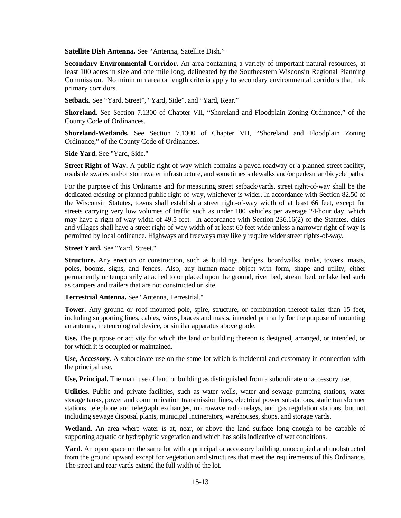**Satellite Dish Antenna.** See "Antenna, Satellite Dish."

**Secondary Environmental Corridor.** An area containing a variety of important natural resources, at least 100 acres in size and one mile long, delineated by the Southeastern Wisconsin Regional Planning Commission. No minimum area or length criteria apply to secondary environmental corridors that link primary corridors.

**Setback**. See "Yard, Street", "Yard, Side", and "Yard, Rear."

**Shoreland.** See Section 7.1300 of Chapter VII, "Shoreland and Floodplain Zoning Ordinance," of the County Code of Ordinances.

**Shoreland-Wetlands.** See Section 7.1300 of Chapter VII, "Shoreland and Floodplain Zoning Ordinance," of the County Code of Ordinances.

**Side Yard.** See "Yard, Side."

**Street Right-of-Way.** A public right-of-way which contains a paved roadway or a planned street facility, roadside swales and/or stormwater infrastructure, and sometimes sidewalks and/or pedestrian/bicycle paths.

For the purpose of this Ordinance and for measuring street setback/yards, street right-of-way shall be the dedicated existing or planned public right-of-way, whichever is wider. In accordance with Section 82.50 of the Wisconsin Statutes, towns shall establish a street right-of-way width of at least 66 feet, except for streets carrying very low volumes of traffic such as under 100 vehicles per average 24-hour day, which may have a right-of-way width of 49.5 feet. In accordance with Section 236.16(2) of the Statutes, cities and villages shall have a street right-of-way width of at least 60 feet wide unless a narrower right-of-way is permitted by local ordinance. Highways and freeways may likely require wider street rights-of-way.

**Street Yard.** See "Yard, Street."

**Structure.** Any erection or construction, such as buildings, bridges, boardwalks, tanks, towers, masts, poles, booms, signs, and fences. Also, any human-made object with form, shape and utility, either permanently or temporarily attached to or placed upon the ground, river bed, stream bed, or lake bed such as campers and trailers that are not constructed on site.

**Terrestrial Antenna.** See "Antenna, Terrestrial."

**Tower.** Any ground or roof mounted pole, spire, structure, or combination thereof taller than 15 feet, including supporting lines, cables, wires, braces and masts, intended primarily for the purpose of mounting an antenna, meteorological device, or similar apparatus above grade.

**Use.** The purpose or activity for which the land or building thereon is designed, arranged, or intended, or for which it is occupied or maintained.

**Use, Accessory.** A subordinate use on the same lot which is incidental and customary in connection with the principal use.

**Use, Principal.** The main use of land or building as distinguished from a subordinate or accessory use.

**Utilities.** Public and private facilities, such as water wells, water and sewage pumping stations, water storage tanks, power and communication transmission lines, electrical power substations, static transformer stations, telephone and telegraph exchanges, microwave radio relays, and gas regulation stations, but not including sewage disposal plants, municipal incinerators, warehouses, shops, and storage yards.

**Wetland.** An area where water is at, near, or above the land surface long enough to be capable of supporting aquatic or hydrophytic vegetation and which has soils indicative of wet conditions.

**Yard.** An open space on the same lot with a principal or accessory building, unoccupied and unobstructed from the ground upward except for vegetation and structures that meet the requirements of this Ordinance. The street and rear yards extend the full width of the lot.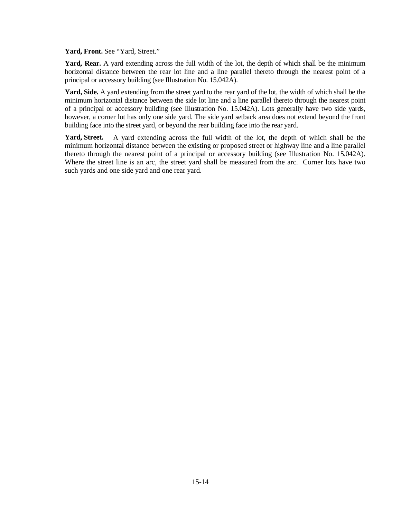Yard, Front. See "Yard, Street."

Yard, Rear. A yard extending across the full width of the lot, the depth of which shall be the minimum horizontal distance between the rear lot line and a line parallel thereto through the nearest point of a principal or accessory building (see Illustration No. 15.042A).

**Yard, Side.** A yard extending from the street yard to the rear yard of the lot, the width of which shall be the minimum horizontal distance between the side lot line and a line parallel thereto through the nearest point of a principal or accessory building (see Illustration No. 15.042A). Lots generally have two side yards, however, a corner lot has only one side yard. The side yard setback area does not extend beyond the front building face into the street yard, or beyond the rear building face into the rear yard.

**Yard, Street.** A yard extending across the full width of the lot, the depth of which shall be the minimum horizontal distance between the existing or proposed street or highway line and a line parallel thereto through the nearest point of a principal or accessory building (see Illustration No. 15.042A). Where the street line is an arc, the street yard shall be measured from the arc. Corner lots have two such yards and one side yard and one rear yard.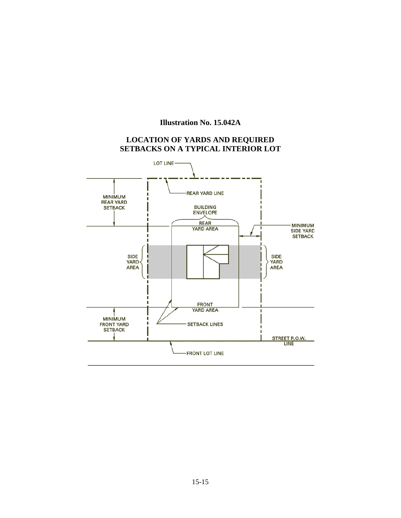# **Illustration No. 15.042A**

# **LOCATION OF YARDS AND REQUIRED SETBACKS ON A TYPICAL INTERIOR LOT**

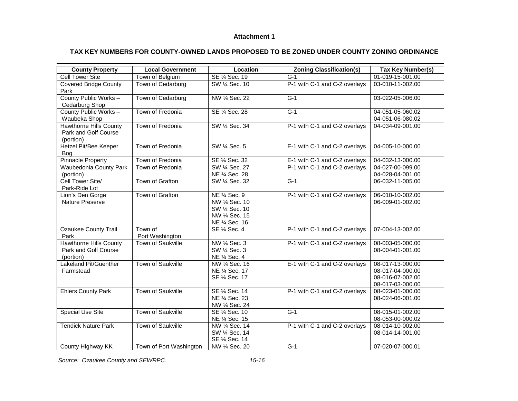#### **Attachment 1**

## **TAX KEY NUMBERS FOR COUNTY-OWNED LANDS PROPOSED TO BE ZONED UNDER COUNTY ZONING ORDINANCE**

| <b>Cell Tower Site</b><br>SE 1/4 Sec. 19<br>01-019-15-001.00<br>Town of Belgium<br>$G-1$<br><b>Covered Bridge County</b><br>P-1 with C-1 and C-2 overlays<br>Town of Cedarburg<br>SW 1/4 Sec. 10<br>03-010-11-002.00<br>Park<br>County Public Works -<br>Town of Cedarburg<br>NW 1/4 Sec. 22<br>$\overline{G-1}$<br>03-022-05-006.00<br>Cedarburg Shop<br>County Public Works -<br>Town of Fredonia<br>SE 1/4 Sec. 28<br>$G-1$<br>04-051-05-060.02<br>Waubeka Shop<br>04-051-06-080.02<br><b>Hawthorne Hills County</b><br>Town of Fredonia<br>SW 1/4 Sec. 34<br>P-1 with C-1 and C-2 overlays<br>04-034-09-001.00<br>Park and Golf Course<br>(portion)<br><b>Hetzel Pit/Bee Keeper</b><br>SW 1/4 Sec. 5<br>Town of Fredonia<br>E-1 with C-1 and C-2 overlays<br>04-005-10-000.00<br>Boa<br><b>Pinnacle Property</b><br>Town of Fredonia<br>SE 1/4 Sec. 32<br>E-1 with C-1 and C-2 overlays<br>04-032-13-000.00<br>P-1 with C-1 and C-2 overlays<br><b>Waubedonia County Park</b><br>Town of Fredonia<br>SW 1/4 Sec. 27<br>04-027-00-099.00<br>NE 1/4 Sec. 28<br>04-028-04-001.00<br>(portion)<br>Cell Tower Site/<br>$G-1$<br>Town of Grafton<br>SW 1/4 Sec. 32<br>06-032-11-005.00<br>Park-Ride Lot<br>Town of Grafton<br>NE 1/4 Sec. 9<br>P-1 with C-1 and C-2 overlays<br>Lion's Den Gorge<br>06-010-10-002.00<br>Nature Preserve<br>NW 1/4 Sec. 10<br>06-009-01-002.00<br>SW 1/4 Sec. 10<br>NW 1/4 Sec. 15<br>NE 1/4 Sec. 16<br><b>Ozaukee County Trail</b><br>Town of<br>P-1 with C-1 and C-2 overlays<br>07-004-13-002.00<br>SE 1/4 Sec. 4<br>Park<br>Port Washington<br>Town of Saukville<br><b>Hawthorne Hills County</b><br>NW 1/4 Sec. 3<br>P-1 with C-1 and C-2 overlays<br>08-003-05-000.00<br>Park and Golf Course<br>SW 1/4 Sec. 3<br>08-004-01-001.00<br>(portion)<br>NE 1/4 Sec. 4<br>Lakeland Pit/Guenther<br>Town of Saukville<br>E-1 with C-1 and C-2 overlays<br>NW 1/4 Sec. 16<br>08-017-13-000.00<br>Farmstead<br>NE 1/4 Sec. 17<br>08-017-04-000.00<br>SE 1/4 Sec. 17<br>08-016-07-002.00<br>08-017-03-000.00<br>Town of Saukville<br><b>Ehlers County Park</b><br>SE 1/4 Sec. 14<br>P-1 with C-1 and C-2 overlays<br>08-023-01-000.00<br>NE 1/4 Sec. 23<br>08-024-06-001.00 | <b>County Property</b> | <b>Local Government</b> | Location | <b>Zoning Classification(s)</b> | <b>Tax Key Number(s)</b> |
|------------------------------------------------------------------------------------------------------------------------------------------------------------------------------------------------------------------------------------------------------------------------------------------------------------------------------------------------------------------------------------------------------------------------------------------------------------------------------------------------------------------------------------------------------------------------------------------------------------------------------------------------------------------------------------------------------------------------------------------------------------------------------------------------------------------------------------------------------------------------------------------------------------------------------------------------------------------------------------------------------------------------------------------------------------------------------------------------------------------------------------------------------------------------------------------------------------------------------------------------------------------------------------------------------------------------------------------------------------------------------------------------------------------------------------------------------------------------------------------------------------------------------------------------------------------------------------------------------------------------------------------------------------------------------------------------------------------------------------------------------------------------------------------------------------------------------------------------------------------------------------------------------------------------------------------------------------------------------------------------------------------------------------------------------------------------------------------------------------------------------------------------------------------------------------------------------|------------------------|-------------------------|----------|---------------------------------|--------------------------|
|                                                                                                                                                                                                                                                                                                                                                                                                                                                                                                                                                                                                                                                                                                                                                                                                                                                                                                                                                                                                                                                                                                                                                                                                                                                                                                                                                                                                                                                                                                                                                                                                                                                                                                                                                                                                                                                                                                                                                                                                                                                                                                                                                                                                      |                        |                         |          |                                 |                          |
|                                                                                                                                                                                                                                                                                                                                                                                                                                                                                                                                                                                                                                                                                                                                                                                                                                                                                                                                                                                                                                                                                                                                                                                                                                                                                                                                                                                                                                                                                                                                                                                                                                                                                                                                                                                                                                                                                                                                                                                                                                                                                                                                                                                                      |                        |                         |          |                                 |                          |
|                                                                                                                                                                                                                                                                                                                                                                                                                                                                                                                                                                                                                                                                                                                                                                                                                                                                                                                                                                                                                                                                                                                                                                                                                                                                                                                                                                                                                                                                                                                                                                                                                                                                                                                                                                                                                                                                                                                                                                                                                                                                                                                                                                                                      |                        |                         |          |                                 |                          |
|                                                                                                                                                                                                                                                                                                                                                                                                                                                                                                                                                                                                                                                                                                                                                                                                                                                                                                                                                                                                                                                                                                                                                                                                                                                                                                                                                                                                                                                                                                                                                                                                                                                                                                                                                                                                                                                                                                                                                                                                                                                                                                                                                                                                      |                        |                         |          |                                 |                          |
|                                                                                                                                                                                                                                                                                                                                                                                                                                                                                                                                                                                                                                                                                                                                                                                                                                                                                                                                                                                                                                                                                                                                                                                                                                                                                                                                                                                                                                                                                                                                                                                                                                                                                                                                                                                                                                                                                                                                                                                                                                                                                                                                                                                                      |                        |                         |          |                                 |                          |
|                                                                                                                                                                                                                                                                                                                                                                                                                                                                                                                                                                                                                                                                                                                                                                                                                                                                                                                                                                                                                                                                                                                                                                                                                                                                                                                                                                                                                                                                                                                                                                                                                                                                                                                                                                                                                                                                                                                                                                                                                                                                                                                                                                                                      |                        |                         |          |                                 |                          |
|                                                                                                                                                                                                                                                                                                                                                                                                                                                                                                                                                                                                                                                                                                                                                                                                                                                                                                                                                                                                                                                                                                                                                                                                                                                                                                                                                                                                                                                                                                                                                                                                                                                                                                                                                                                                                                                                                                                                                                                                                                                                                                                                                                                                      |                        |                         |          |                                 |                          |
|                                                                                                                                                                                                                                                                                                                                                                                                                                                                                                                                                                                                                                                                                                                                                                                                                                                                                                                                                                                                                                                                                                                                                                                                                                                                                                                                                                                                                                                                                                                                                                                                                                                                                                                                                                                                                                                                                                                                                                                                                                                                                                                                                                                                      |                        |                         |          |                                 |                          |
|                                                                                                                                                                                                                                                                                                                                                                                                                                                                                                                                                                                                                                                                                                                                                                                                                                                                                                                                                                                                                                                                                                                                                                                                                                                                                                                                                                                                                                                                                                                                                                                                                                                                                                                                                                                                                                                                                                                                                                                                                                                                                                                                                                                                      |                        |                         |          |                                 |                          |
|                                                                                                                                                                                                                                                                                                                                                                                                                                                                                                                                                                                                                                                                                                                                                                                                                                                                                                                                                                                                                                                                                                                                                                                                                                                                                                                                                                                                                                                                                                                                                                                                                                                                                                                                                                                                                                                                                                                                                                                                                                                                                                                                                                                                      |                        |                         |          |                                 |                          |
|                                                                                                                                                                                                                                                                                                                                                                                                                                                                                                                                                                                                                                                                                                                                                                                                                                                                                                                                                                                                                                                                                                                                                                                                                                                                                                                                                                                                                                                                                                                                                                                                                                                                                                                                                                                                                                                                                                                                                                                                                                                                                                                                                                                                      |                        |                         |          |                                 |                          |
|                                                                                                                                                                                                                                                                                                                                                                                                                                                                                                                                                                                                                                                                                                                                                                                                                                                                                                                                                                                                                                                                                                                                                                                                                                                                                                                                                                                                                                                                                                                                                                                                                                                                                                                                                                                                                                                                                                                                                                                                                                                                                                                                                                                                      |                        |                         |          |                                 |                          |
|                                                                                                                                                                                                                                                                                                                                                                                                                                                                                                                                                                                                                                                                                                                                                                                                                                                                                                                                                                                                                                                                                                                                                                                                                                                                                                                                                                                                                                                                                                                                                                                                                                                                                                                                                                                                                                                                                                                                                                                                                                                                                                                                                                                                      |                        |                         |          |                                 |                          |
|                                                                                                                                                                                                                                                                                                                                                                                                                                                                                                                                                                                                                                                                                                                                                                                                                                                                                                                                                                                                                                                                                                                                                                                                                                                                                                                                                                                                                                                                                                                                                                                                                                                                                                                                                                                                                                                                                                                                                                                                                                                                                                                                                                                                      |                        |                         |          |                                 |                          |
|                                                                                                                                                                                                                                                                                                                                                                                                                                                                                                                                                                                                                                                                                                                                                                                                                                                                                                                                                                                                                                                                                                                                                                                                                                                                                                                                                                                                                                                                                                                                                                                                                                                                                                                                                                                                                                                                                                                                                                                                                                                                                                                                                                                                      |                        |                         |          |                                 |                          |
|                                                                                                                                                                                                                                                                                                                                                                                                                                                                                                                                                                                                                                                                                                                                                                                                                                                                                                                                                                                                                                                                                                                                                                                                                                                                                                                                                                                                                                                                                                                                                                                                                                                                                                                                                                                                                                                                                                                                                                                                                                                                                                                                                                                                      |                        |                         |          |                                 |                          |
|                                                                                                                                                                                                                                                                                                                                                                                                                                                                                                                                                                                                                                                                                                                                                                                                                                                                                                                                                                                                                                                                                                                                                                                                                                                                                                                                                                                                                                                                                                                                                                                                                                                                                                                                                                                                                                                                                                                                                                                                                                                                                                                                                                                                      |                        |                         |          |                                 |                          |
|                                                                                                                                                                                                                                                                                                                                                                                                                                                                                                                                                                                                                                                                                                                                                                                                                                                                                                                                                                                                                                                                                                                                                                                                                                                                                                                                                                                                                                                                                                                                                                                                                                                                                                                                                                                                                                                                                                                                                                                                                                                                                                                                                                                                      |                        |                         |          |                                 |                          |
|                                                                                                                                                                                                                                                                                                                                                                                                                                                                                                                                                                                                                                                                                                                                                                                                                                                                                                                                                                                                                                                                                                                                                                                                                                                                                                                                                                                                                                                                                                                                                                                                                                                                                                                                                                                                                                                                                                                                                                                                                                                                                                                                                                                                      |                        |                         |          |                                 |                          |
|                                                                                                                                                                                                                                                                                                                                                                                                                                                                                                                                                                                                                                                                                                                                                                                                                                                                                                                                                                                                                                                                                                                                                                                                                                                                                                                                                                                                                                                                                                                                                                                                                                                                                                                                                                                                                                                                                                                                                                                                                                                                                                                                                                                                      |                        |                         |          |                                 |                          |
|                                                                                                                                                                                                                                                                                                                                                                                                                                                                                                                                                                                                                                                                                                                                                                                                                                                                                                                                                                                                                                                                                                                                                                                                                                                                                                                                                                                                                                                                                                                                                                                                                                                                                                                                                                                                                                                                                                                                                                                                                                                                                                                                                                                                      |                        |                         |          |                                 |                          |
|                                                                                                                                                                                                                                                                                                                                                                                                                                                                                                                                                                                                                                                                                                                                                                                                                                                                                                                                                                                                                                                                                                                                                                                                                                                                                                                                                                                                                                                                                                                                                                                                                                                                                                                                                                                                                                                                                                                                                                                                                                                                                                                                                                                                      |                        |                         |          |                                 |                          |
|                                                                                                                                                                                                                                                                                                                                                                                                                                                                                                                                                                                                                                                                                                                                                                                                                                                                                                                                                                                                                                                                                                                                                                                                                                                                                                                                                                                                                                                                                                                                                                                                                                                                                                                                                                                                                                                                                                                                                                                                                                                                                                                                                                                                      |                        |                         |          |                                 |                          |
|                                                                                                                                                                                                                                                                                                                                                                                                                                                                                                                                                                                                                                                                                                                                                                                                                                                                                                                                                                                                                                                                                                                                                                                                                                                                                                                                                                                                                                                                                                                                                                                                                                                                                                                                                                                                                                                                                                                                                                                                                                                                                                                                                                                                      |                        |                         |          |                                 |                          |
|                                                                                                                                                                                                                                                                                                                                                                                                                                                                                                                                                                                                                                                                                                                                                                                                                                                                                                                                                                                                                                                                                                                                                                                                                                                                                                                                                                                                                                                                                                                                                                                                                                                                                                                                                                                                                                                                                                                                                                                                                                                                                                                                                                                                      |                        |                         |          |                                 |                          |
|                                                                                                                                                                                                                                                                                                                                                                                                                                                                                                                                                                                                                                                                                                                                                                                                                                                                                                                                                                                                                                                                                                                                                                                                                                                                                                                                                                                                                                                                                                                                                                                                                                                                                                                                                                                                                                                                                                                                                                                                                                                                                                                                                                                                      |                        |                         |          |                                 |                          |
|                                                                                                                                                                                                                                                                                                                                                                                                                                                                                                                                                                                                                                                                                                                                                                                                                                                                                                                                                                                                                                                                                                                                                                                                                                                                                                                                                                                                                                                                                                                                                                                                                                                                                                                                                                                                                                                                                                                                                                                                                                                                                                                                                                                                      |                        |                         |          |                                 |                          |
|                                                                                                                                                                                                                                                                                                                                                                                                                                                                                                                                                                                                                                                                                                                                                                                                                                                                                                                                                                                                                                                                                                                                                                                                                                                                                                                                                                                                                                                                                                                                                                                                                                                                                                                                                                                                                                                                                                                                                                                                                                                                                                                                                                                                      |                        |                         |          |                                 |                          |
|                                                                                                                                                                                                                                                                                                                                                                                                                                                                                                                                                                                                                                                                                                                                                                                                                                                                                                                                                                                                                                                                                                                                                                                                                                                                                                                                                                                                                                                                                                                                                                                                                                                                                                                                                                                                                                                                                                                                                                                                                                                                                                                                                                                                      |                        |                         |          |                                 |                          |
|                                                                                                                                                                                                                                                                                                                                                                                                                                                                                                                                                                                                                                                                                                                                                                                                                                                                                                                                                                                                                                                                                                                                                                                                                                                                                                                                                                                                                                                                                                                                                                                                                                                                                                                                                                                                                                                                                                                                                                                                                                                                                                                                                                                                      |                        |                         |          |                                 |                          |
|                                                                                                                                                                                                                                                                                                                                                                                                                                                                                                                                                                                                                                                                                                                                                                                                                                                                                                                                                                                                                                                                                                                                                                                                                                                                                                                                                                                                                                                                                                                                                                                                                                                                                                                                                                                                                                                                                                                                                                                                                                                                                                                                                                                                      |                        |                         |          |                                 |                          |
|                                                                                                                                                                                                                                                                                                                                                                                                                                                                                                                                                                                                                                                                                                                                                                                                                                                                                                                                                                                                                                                                                                                                                                                                                                                                                                                                                                                                                                                                                                                                                                                                                                                                                                                                                                                                                                                                                                                                                                                                                                                                                                                                                                                                      |                        |                         |          |                                 |                          |
| NW 1/4 Sec. 24                                                                                                                                                                                                                                                                                                                                                                                                                                                                                                                                                                                                                                                                                                                                                                                                                                                                                                                                                                                                                                                                                                                                                                                                                                                                                                                                                                                                                                                                                                                                                                                                                                                                                                                                                                                                                                                                                                                                                                                                                                                                                                                                                                                       |                        |                         |          |                                 |                          |
| Town of Saukville<br>$G-1$<br><b>Special Use Site</b><br>SE 1/4 Sec. 10<br>08-015-01-002.00                                                                                                                                                                                                                                                                                                                                                                                                                                                                                                                                                                                                                                                                                                                                                                                                                                                                                                                                                                                                                                                                                                                                                                                                                                                                                                                                                                                                                                                                                                                                                                                                                                                                                                                                                                                                                                                                                                                                                                                                                                                                                                          |                        |                         |          |                                 |                          |
| NE 1/4 Sec. 15<br>08-053-00-000.02                                                                                                                                                                                                                                                                                                                                                                                                                                                                                                                                                                                                                                                                                                                                                                                                                                                                                                                                                                                                                                                                                                                                                                                                                                                                                                                                                                                                                                                                                                                                                                                                                                                                                                                                                                                                                                                                                                                                                                                                                                                                                                                                                                   |                        |                         |          |                                 |                          |
| <b>Tendick Nature Park</b><br><b>Town of Saukville</b><br>NW 1/4 Sec. 14<br>P-1 with C-1 and C-2 overlays<br>08-014-10-002.00<br>SW 1/4 Sec. 14                                                                                                                                                                                                                                                                                                                                                                                                                                                                                                                                                                                                                                                                                                                                                                                                                                                                                                                                                                                                                                                                                                                                                                                                                                                                                                                                                                                                                                                                                                                                                                                                                                                                                                                                                                                                                                                                                                                                                                                                                                                      |                        |                         |          |                                 |                          |
| 08-014-14-001.00<br>SE 1/4 Sec. 14                                                                                                                                                                                                                                                                                                                                                                                                                                                                                                                                                                                                                                                                                                                                                                                                                                                                                                                                                                                                                                                                                                                                                                                                                                                                                                                                                                                                                                                                                                                                                                                                                                                                                                                                                                                                                                                                                                                                                                                                                                                                                                                                                                   |                        |                         |          |                                 |                          |
| NW 1/4 Sec. 20<br>$G-1$<br>County Highway KK<br>Town of Port Washington<br>07-020-07-000.01                                                                                                                                                                                                                                                                                                                                                                                                                                                                                                                                                                                                                                                                                                                                                                                                                                                                                                                                                                                                                                                                                                                                                                                                                                                                                                                                                                                                                                                                                                                                                                                                                                                                                                                                                                                                                                                                                                                                                                                                                                                                                                          |                        |                         |          |                                 |                          |

*Source: Ozaukee County and SEWRPC. 15-16*